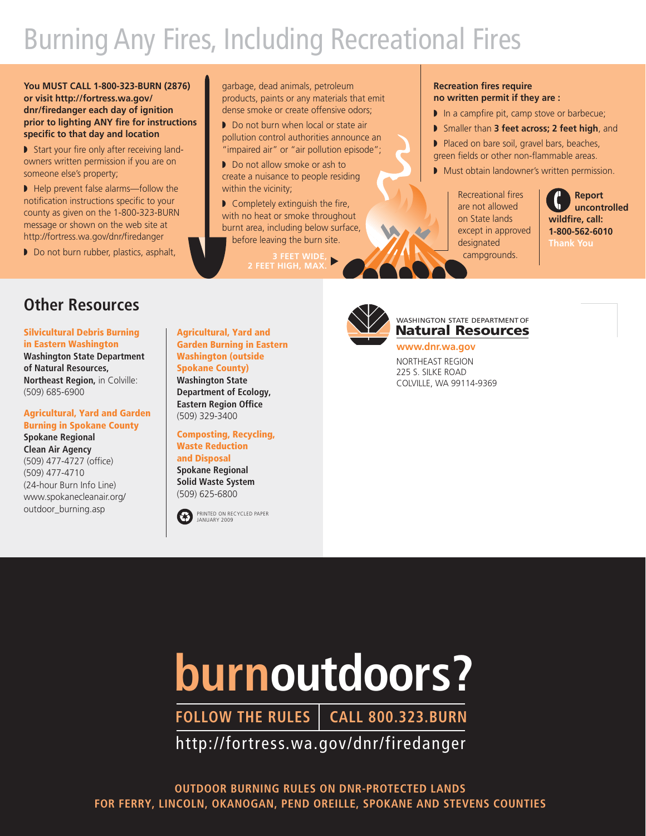# Burning Any Fires, Including Recreational Fires

**You MUST CALL 1-800-323-BURN (2876) or visit http://fortress.wa.gov/ dnr/firedanger each day of ignition prior to lighting ANY fire for instructions specific to that day and location**

■ Start your fire only after receiving landowners written permission if you are on someone else's property;

■ Help prevent false alarms—follow the notification instructions specific to your county as given on the 1-800-323-BURN message or shown on the web site at http://fortress.wa.gov/dnr/firedanger

◗ Do not burn rubber, plastics, asphalt,

garbage, dead animals, petroleum products, paints or any materials that emit dense smoke or create offensive odors;

■ Do not burn when local or state air pollution control authorities announce an "impaired air" or "air pollution episode";

◗ Do not allow smoke or ash to create a nuisance to people residing within the vicinity;

■ Completely extinguish the fire, with no heat or smoke throughout burnt area, including below surface, before leaving the burn site.

#### **Recreation fires require no written permit if they are :**

- In a campfire pit, camp stove or barbecue;
- ◗ Smaller than **3 feet across; 2 feet high**, and
- ◗ Placed on bare soil, gravel bars, beaches, green fields or other non-flammable areas.
- Must obtain landowner's written permission.

Recreational fires are not allowed on State lands except in approved designated campgrounds.

**Report uncontrolled wildfire, call: 1-800-562-6010 Thank You**

### **Other Resources**

**Silvicultural Debris Burning in Eastern Washington Washington State Department of Natural Resources, Northeast Region,** in Colville: (509) 685-6900

#### **Agricultural, Yard and Garden Burning in Spokane County**

**Spokane Regional Clean Air Agency** (509) 477-4727 (office) (509) 477-4710 (24-hour Burn Info Line) www.spokanecleanair.org/ outdoor\_burning.asp

**Agricultural, Yard and Garden Burning in Eastern Washington (outside Spokane County) Washington State Department of Ecology,**

**Eastern Region Office** (509) 329-3400

**Composting, Recycling, Waste Reduction and Disposal Spokane Regional Solid Waste System** (509) 625-6800





**Natural Resources** WASHINGTON STATE DEPARTMENT OF

**www.dnr.wa.gov** NORTHEAST REGION 225 S. SILKE ROAD COLVILLE, WA 99114-9369

# **burnoutdoors?**

**FOLLOW THE RULES CALL 800.323.BURN**

http://fortress.wa.gov/dnr/firedanger